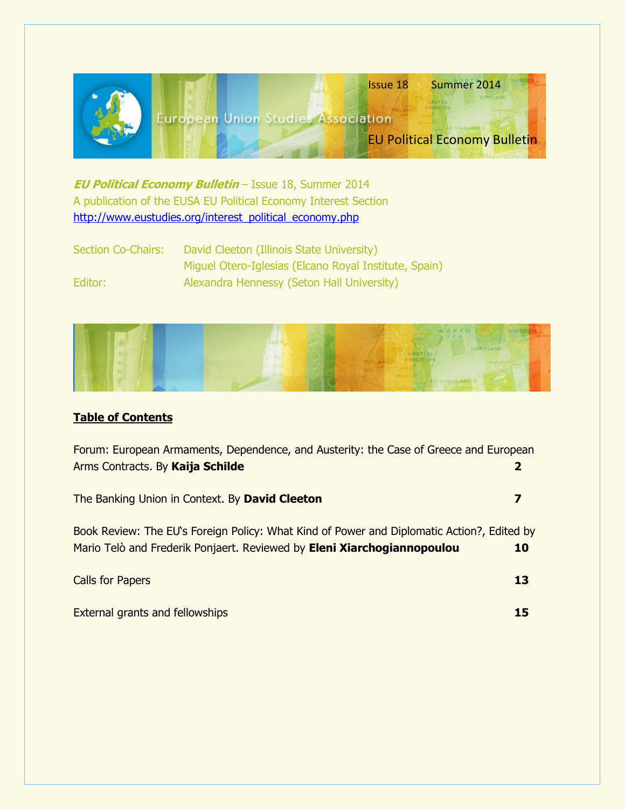

**EU Political Economy Bulletin** – Issue 18, Summer 2014 A publication of the EUSA EU Political Economy Interest Section [http://www.eustudies.org/interest\\_political\\_economy.php](http://www.eustudies.org/interest_political_economy.php)

Section Co-Chairs: David Cleeton (Illinois State University) Miguel Otero-Iglesias (Elcano Royal Institute, Spain) Editor: Alexandra Hennessy (Seton Hall University)



# **Table of Contents**

| Forum: European Armaments, Dependence, and Austerity: the Case of Greece and European<br>Arms Contracts. By Kaija Schilde                                             | 2         |
|-----------------------------------------------------------------------------------------------------------------------------------------------------------------------|-----------|
| The Banking Union in Context. By David Cleeton                                                                                                                        | 7         |
| Book Review: The EU's Foreign Policy: What Kind of Power and Diplomatic Action?, Edited by<br>Mario Telò and Frederik Ponjaert. Reviewed by Eleni Xiarchogiannopoulou | <b>10</b> |
| <b>Calls for Papers</b>                                                                                                                                               | 13        |
| <b>External grants and fellowships</b>                                                                                                                                |           |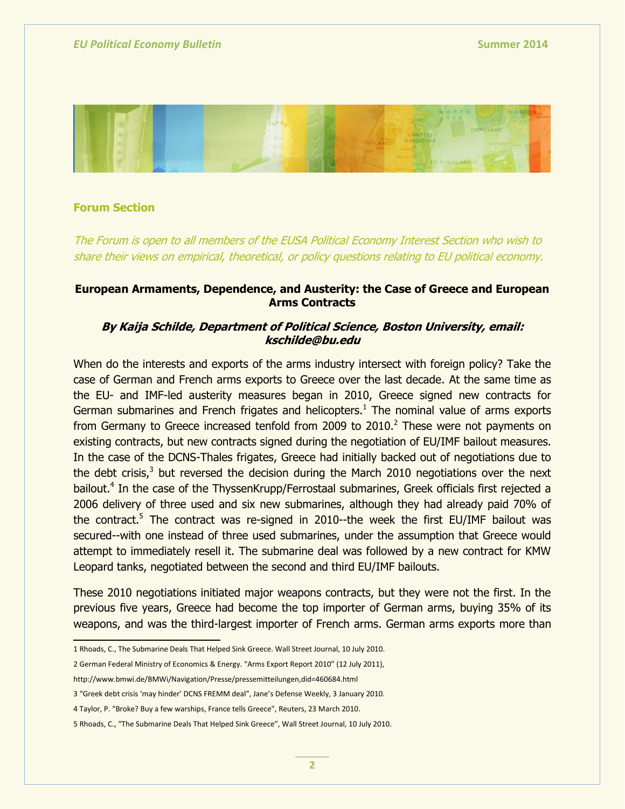

### **Forum Section**

The Forum is open to all members of the EUSA Political Economy Interest Section who wish to share their views on empirical, theoretical, or policy questions relating to EU political economy.

# **European Armaments, Dependence, and Austerity: the Case of Greece and European Arms Contracts**

# **By Kaija Schilde, Department of Political Science, Boston University, email: kschilde@bu.edu**

When do the interests and exports of the arms industry intersect with foreign policy? Take the case of German and French arms exports to Greece over the last decade. At the same time as the EU- and IMF-led austerity measures began in 2010, Greece signed new contracts for German submarines and French frigates and helicopters. $<sup>1</sup>$  The nominal value of arms exports</sup> from Germany to Greece increased tenfold from 2009 to 2010. $^2$  These were not payments on existing contracts, but new contracts signed during the negotiation of EU/IMF bailout measures. In the case of the DCNS-Thales frigates, Greece had initially backed out of negotiations due to the debt crisis, $3$  but reversed the decision during the March 2010 negotiations over the next bailout.<sup>4</sup> In the case of the ThyssenKrupp/Ferrostaal submarines, Greek officials first rejected a 2006 delivery of three used and six new submarines, although they had already paid 70% of the contract.<sup>5</sup> The contract was re-signed in 2010--the week the first EU/IMF bailout was secured--with one instead of three used submarines, under the assumption that Greece would attempt to immediately resell it. The submarine deal was followed by a new contract for KMW Leopard tanks, negotiated between the second and third EU/IMF bailouts.

These 2010 negotiations initiated major weapons contracts, but they were not the first. In the previous five years, Greece had become the top importer of German arms, buying 35% of its weapons, and was the third-largest importer of French arms. German arms exports more than

2 German Federal Ministry of Economics & Energy. "Arms Export Report 2010" (12 July 2011),

<http://www.bmwi.de/BMWi/Navigation/Presse/pressemitteilungen,did=460684.html>

 1 Rhoads, C., The Submarine Deals That Helped Sink Greece. Wall Street Journal, 10 July 2010.

<sup>3</sup> "Greek debt crisis 'may hinder' DCNS FREMM deal", Jane's Defense Weekly, 3 January 2010.

<sup>4</sup> Taylor, P. "Broke? Buy a few warships, France tells Greece", Reuters, 23 March 2010.

<sup>5</sup> Rhoads, C., "The Submarine Deals That Helped Sink Greece", Wall Street Journal, 10 July 2010.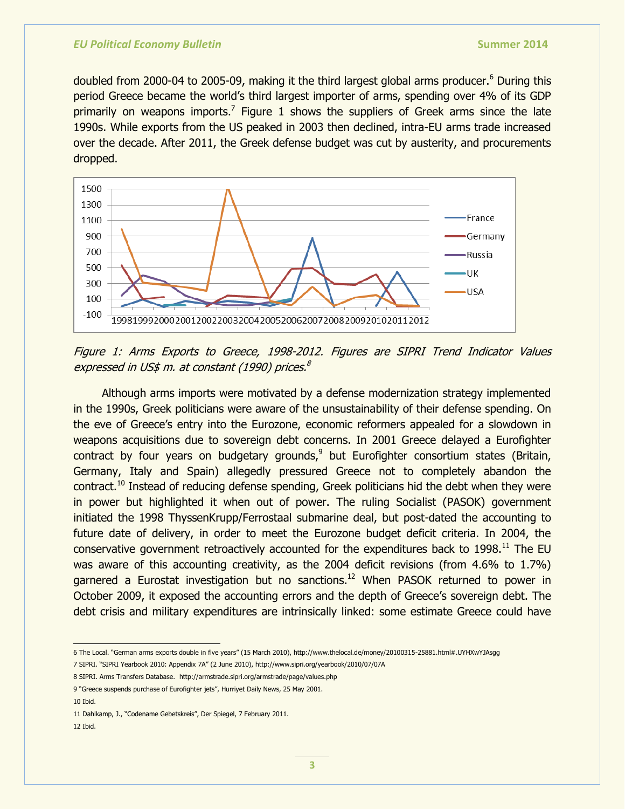doubled from 2000-04 to 2005-09, making it the third largest global arms producer.<sup>6</sup> During this period Greece became the world's third largest importer of arms, spending over 4% of its GDP primarily on weapons imports.<sup>7</sup> Figure 1 shows the suppliers of Greek arms since the late 1990s. While exports from the US peaked in 2003 then declined, intra-EU arms trade increased over the decade. After 2011, the Greek defense budget was cut by austerity, and procurements dropped.



Figure 1: Arms Exports to Greece, 1998-2012. Figures are SIPRI Trend Indicator Values expressed in US\$ m. at constant (1990) prices. 8

Although arms imports were motivated by a defense modernization strategy implemented in the 1990s, Greek politicians were aware of the unsustainability of their defense spending. On the eve of Greece's entry into the Eurozone, economic reformers appealed for a slowdown in weapons acquisitions due to sovereign debt concerns. In 2001 Greece delayed a Eurofighter contract by four years on budgetary grounds, $9$  but Eurofighter consortium states (Britain, Germany, Italy and Spain) allegedly pressured Greece not to completely abandon the contract.<sup>10</sup> Instead of reducing defense spending, Greek politicians hid the debt when they were in power but highlighted it when out of power. The ruling Socialist (PASOK) government initiated the 1998 ThyssenKrupp/Ferrostaal submarine deal, but post-dated the accounting to future date of delivery, in order to meet the Eurozone budget deficit criteria. In 2004, the conservative government retroactively accounted for the expenditures back to 1998.<sup>11</sup> The EU was aware of this accounting creativity, as the 2004 deficit revisions (from 4.6% to 1.7%) garnered a Eurostat investigation but no sanctions.<sup>12</sup> When PASOK returned to power in October 2009, it exposed the accounting errors and the depth of Greece's sovereign debt. The debt crisis and military expenditures are intrinsically linked: some estimate Greece could have

10 Ibid.

 6 The Local. ―German arms exports double in five years‖ (15 March 2010), http://www.thelocal.de/money/20100315-25881.html#.UYHXwYJAsgg

<sup>7</sup> SIPRI. ―SIPRI Yearbook 2010: Appendix 7A‖ (2 June 2010), <http://www.sipri.org/yearbook/2010/07/07A>

<sup>8</sup> SIPRI. Arms Transfers Database. <http://armstrade.sipri.org/armstrade/page/values.php>

<sup>9 &</sup>quot;Greece suspends purchase of Eurofighter jets", Hurriyet Daily News, 25 May 2001.

<sup>11</sup> Dahlkamp, J., "Codename Gebetskreis", Der Spiegel, 7 February 2011.

<sup>12</sup> Ibid.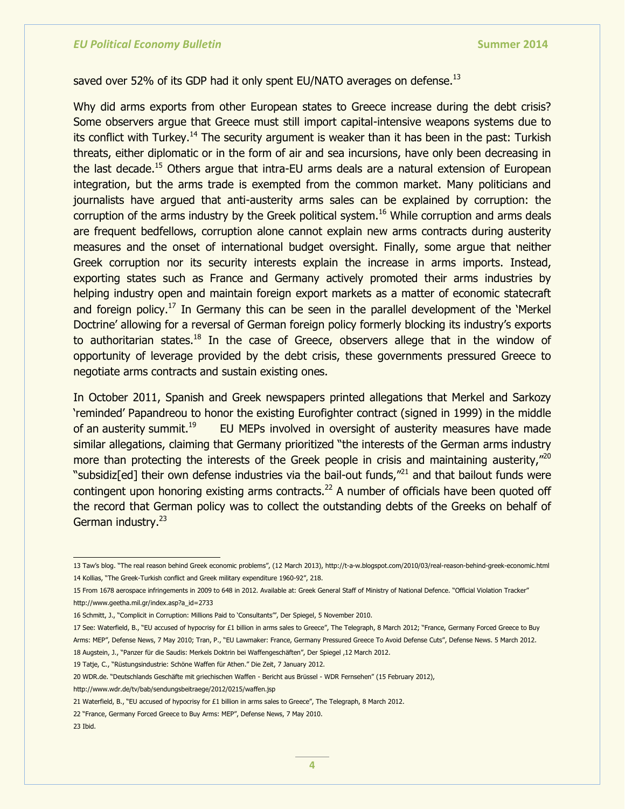# saved over 52% of its GDP had it only spent EU/NATO averages on defense.<sup>13</sup>

Why did arms exports from other European states to Greece increase during the debt crisis? Some observers argue that Greece must still import capital-intensive weapons systems due to its conflict with Turkey.<sup>14</sup> The security argument is weaker than it has been in the past: Turkish threats, either diplomatic or in the form of air and sea incursions, have only been decreasing in the last decade.<sup>15</sup> Others argue that intra-EU arms deals are a natural extension of European integration, but the arms trade is exempted from the common market. Many politicians and journalists have argued that anti-austerity arms sales can be explained by corruption: the corruption of the arms industry by the Greek political system.<sup>16</sup> While corruption and arms deals are frequent bedfellows, corruption alone cannot explain new arms contracts during austerity measures and the onset of international budget oversight. Finally, some argue that neither Greek corruption nor its security interests explain the increase in arms imports. Instead, exporting states such as France and Germany actively promoted their arms industries by helping industry open and maintain foreign export markets as a matter of economic statecraft and foreign policy.<sup>17</sup> In Germany this can be seen in the parallel development of the 'Merkel Doctrine' allowing for a reversal of German foreign policy formerly blocking its industry's exports to authoritarian states.<sup>18</sup> In the case of Greece, observers allege that in the window of opportunity of leverage provided by the debt crisis, these governments pressured Greece to negotiate arms contracts and sustain existing ones.

In October 2011, Spanish and Greek newspapers printed allegations that Merkel and Sarkozy ‗reminded' Papandreou to honor the existing Eurofighter contract (signed in 1999) in the middle of an austerity summit.<sup>19</sup> EU MEPs involved in oversight of austerity measures have made similar allegations, claiming that Germany prioritized "the interests of the German arms industry more than protecting the interests of the Greek people in crisis and maintaining austerity,<sup> $n_{20}$ </sup> "subsidiz[ed] their own defense industries via the bail-out funds, $n^{21}$  and that bailout funds were contingent upon honoring existing arms contracts.<sup>22</sup> A number of officials have been quoted off the record that German policy was to collect the outstanding debts of the Greeks on behalf of German industry.<sup>23</sup>

19 Tatje, C., "Rüstungsindustrie: Schöne Waffen für Athen." Die Zeit, 7 January 2012.

http://www.wdr.de/tv/bab/sendungsbeitraege/2012/0215/waffen.jsp

23 Ibid.

 13 Taw's blog. ―The real reason behind Greek economic problems‖, (12 March 2013), http://t-a-w.blogspot.com/2010/03/real-reason-behind-greek-economic.html 14 Kollias, "The Greek-Turkish conflict and Greek military expenditure 1960-92", 218.

<sup>15</sup> From 1678 aerospace infringements in 2009 to 648 in 2012. Available at: Greek General Staff of Ministry of National Defence. "Official Violation Tracker" [http://www.geetha.mil.gr/index.asp?a\\_id=2733](http://www.geetha.mil.gr/index.asp?a_id=2733)

<sup>16</sup> Schmitt, J., "Complicit in Corruption: Millions Paid to 'Consultants'", Der Spiegel, 5 November 2010.

<sup>17</sup> See: Waterfield, B., "EU accused of hypocrisy for £1 billion in arms sales to Greece", The Telegraph, 8 March 2012; "France, Germany Forced Greece to Buy Arms: MEP", Defense News, 7 May 2010; Tran, P., "EU Lawmaker: France, Germany Pressured Greece To Avoid Defense Cuts", Defense News. 5 March 2012. 18 Augstein, J., "Panzer für die Saudis: Merkels Doktrin bei Waffengeschäften", Der Spiegel ,12 March 2012.

<sup>20</sup> WDR.de. "Deutschlands Geschäfte mit griechischen Waffen - Bericht aus Brüssel - WDR Fernsehen" (15 February 2012),

<sup>21</sup> Waterfield, B., "EU accused of hypocrisy for £1 billion in arms sales to Greece", The Telegraph, 8 March 2012.

<sup>22 &</sup>quot;France, Germany Forced Greece to Buy Arms: MEP", Defense News, 7 May 2010.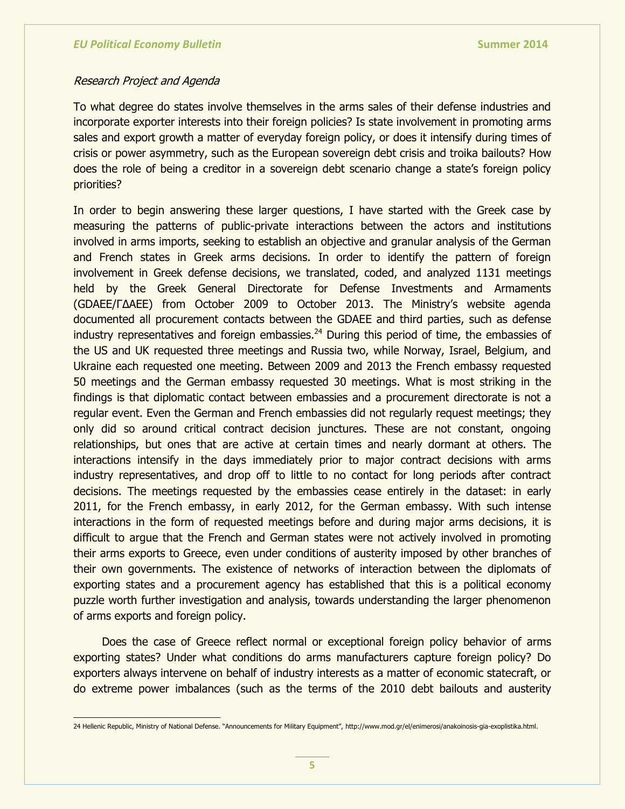### Research Project and Agenda

To what degree do states involve themselves in the arms sales of their defense industries and incorporate exporter interests into their foreign policies? Is state involvement in promoting arms sales and export growth a matter of everyday foreign policy, or does it intensify during times of crisis or power asymmetry, such as the European sovereign debt crisis and troika bailouts? How does the role of being a creditor in a sovereign debt scenario change a state's foreign policy priorities?

In order to begin answering these larger questions, I have started with the Greek case by measuring the patterns of public-private interactions between the actors and institutions involved in arms imports, seeking to establish an objective and granular analysis of the German and French states in Greek arms decisions. In order to identify the pattern of foreign involvement in Greek defense decisions, we translated, coded, and analyzed 1131 meetings held by the Greek General Directorate for Defense Investments and Armaments (GDAEE/ΓΔΑΕΕ) from October 2009 to October 2013. The Ministry's website agenda documented all procurement contacts between the GDAEE and third parties, such as defense industry representatives and foreign embassies. $^{24}$  During this period of time, the embassies of the US and UK requested three meetings and Russia two, while Norway, Israel, Belgium, and Ukraine each requested one meeting. Between 2009 and 2013 the French embassy requested 50 meetings and the German embassy requested 30 meetings. What is most striking in the findings is that diplomatic contact between embassies and a procurement directorate is not a regular event. Even the German and French embassies did not regularly request meetings; they only did so around critical contract decision junctures. These are not constant, ongoing relationships, but ones that are active at certain times and nearly dormant at others. The interactions intensify in the days immediately prior to major contract decisions with arms industry representatives, and drop off to little to no contact for long periods after contract decisions. The meetings requested by the embassies cease entirely in the dataset: in early 2011, for the French embassy, in early 2012, for the German embassy. With such intense interactions in the form of requested meetings before and during major arms decisions, it is difficult to argue that the French and German states were not actively involved in promoting their arms exports to Greece, even under conditions of austerity imposed by other branches of their own governments. The existence of networks of interaction between the diplomats of exporting states and a procurement agency has established that this is a political economy puzzle worth further investigation and analysis, towards understanding the larger phenomenon of arms exports and foreign policy.

Does the case of Greece reflect normal or exceptional foreign policy behavior of arms exporting states? Under what conditions do arms manufacturers capture foreign policy? Do exporters always intervene on behalf of industry interests as a matter of economic statecraft, or do extreme power imbalances (such as the terms of the 2010 debt bailouts and austerity

 24 Hellenic Republic, Ministry of National Defense. ―Announcements for Military Equipment‖, [http://www.mod.gr/el/enimerosi/anakoinosis-gia-exoplistika.html.](http://www.mod.gr/el/enimerosi/anakoinosis-gia-exoplistika.html)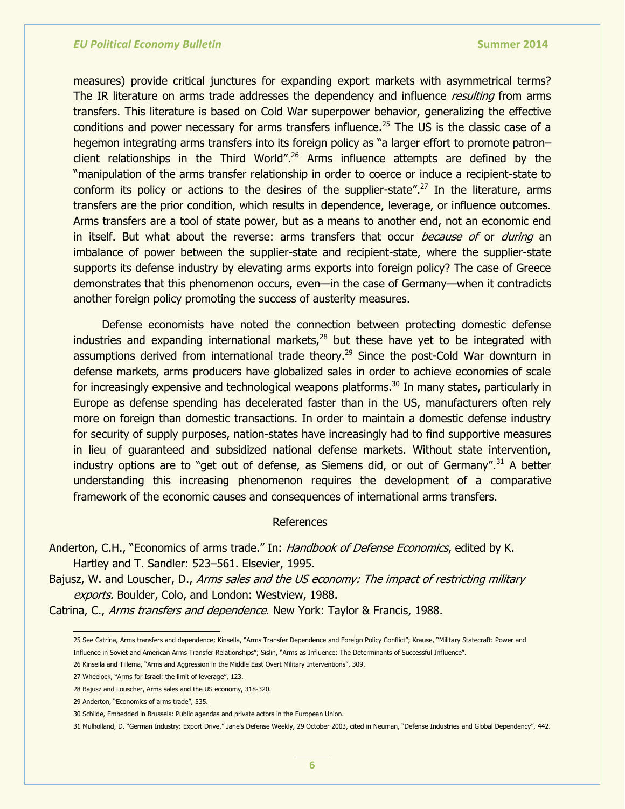measures) provide critical junctures for expanding export markets with asymmetrical terms? The IR literature on arms trade addresses the dependency and influence *resulting* from arms transfers. This literature is based on Cold War superpower behavior, generalizing the effective conditions and power necessary for arms transfers influence.<sup>25</sup> The US is the classic case of a hegemon integrating arms transfers into its foreign policy as "a larger effort to promote patron– client relationships in the Third World".<sup>26</sup> Arms influence attempts are defined by the "manipulation of the arms transfer relationship in order to coerce or induce a recipient-state to conform its policy or actions to the desires of the supplier-state".<sup>27</sup> In the literature, arms transfers are the prior condition, which results in dependence, leverage, or influence outcomes. Arms transfers are a tool of state power, but as a means to another end, not an economic end in itself. But what about the reverse: arms transfers that occur *because of* or *during* an imbalance of power between the supplier-state and recipient-state, where the supplier-state supports its defense industry by elevating arms exports into foreign policy? The case of Greece demonstrates that this phenomenon occurs, even—in the case of Germany—when it contradicts another foreign policy promoting the success of austerity measures.

Defense economists have noted the connection between protecting domestic defense industries and expanding international markets, $28$  but these have yet to be integrated with assumptions derived from international trade theory.<sup>29</sup> Since the post-Cold War downturn in defense markets, arms producers have globalized sales in order to achieve economies of scale for increasingly expensive and technological weapons platforms.<sup>30</sup> In many states, particularly in Europe as defense spending has decelerated faster than in the US, manufacturers often rely more on foreign than domestic transactions. In order to maintain a domestic defense industry for security of supply purposes, nation-states have increasingly had to find supportive measures in lieu of guaranteed and subsidized national defense markets. Without state intervention, industry options are to "get out of defense, as Siemens did, or out of Germany".<sup>31</sup> A better understanding this increasing phenomenon requires the development of a comparative framework of the economic causes and consequences of international arms transfers.

### **References**

Anderton, C.H., "Economics of arms trade." In: Handbook of Defense Economics, edited by K. Hartley and T. Sandler: 523–561. Elsevier, 1995.

Bajusz, W. and Louscher, D., Arms sales and the US economy: The impact of restricting military exports. Boulder, Colo, and London: Westview, 1988.

Catrina, C., Arms transfers and dependence. New York: Taylor & Francis, 1988.

 25 See Catrina, Arms transfers and dependence; Kinsella, ―Arms Transfer Dependence and Foreign Policy Conflict‖; Krause, ―Military Statecraft: Power and Influence in Soviet and American Arms Transfer Relationships"; Sislin, "Arms as Influence: The Determinants of Successful Influence".

<sup>26</sup> Kinsella and Tillema, "Arms and Aggression in the Middle East Overt Military Interventions", 309.

<sup>27</sup> Wheelock, "Arms for Israel: the limit of leverage", 123.

<sup>28</sup> Bajusz and Louscher, Arms sales and the US economy, 318-320.

<sup>29</sup> Anderton, "Economics of arms trade", 535.

<sup>30</sup> Schilde, Embedded in Brussels: Public agendas and private actors in the European Union.

<sup>31</sup> Mulholland, D. "German Industry: Export Drive," Jane's Defense Weekly, 29 October 2003, cited in Neuman, "Defense Industries and Global Dependency", 442.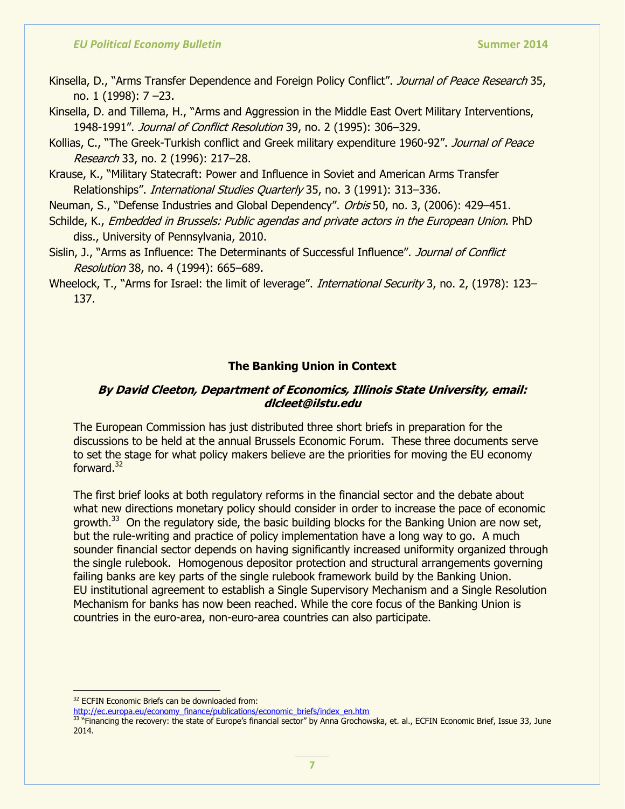- Kinsella, D., "Arms Transfer Dependence and Foreign Policy Conflict". Journal of Peace Research 35, no. 1 (1998): 7 –23.
- Kinsella, D. and Tillema, H., "Arms and Aggression in the Middle East Overt Military Interventions, 1948-1991". Journal of Conflict Resolution 39, no. 2 (1995): 306-329.
- Kollias, C., "The Greek-Turkish conflict and Greek military expenditure 1960-92". Journal of Peace Research 33, no. 2 (1996): 217–28.
- Krause, K., "Military Statecraft: Power and Influence in Soviet and American Arms Transfer Relationships". International Studies Quarterly 35, no. 3 (1991): 313-336.
- Neuman, S., "Defense Industries and Global Dependency". Orbis 50, no. 3, (2006): 429–451.
- Schilde, K., Embedded in Brussels: Public agendas and private actors in the European Union. PhD diss., University of Pennsylvania, 2010.
- Sislin, J., "Arms as Influence: The Determinants of Successful Influence". Journal of Conflict Resolution 38, no. 4 (1994): 665–689.

Wheelock, T., "Arms for Israel: the limit of leverage". *International Security* 3, no. 2, (1978): 123– 137.

## **The Banking Union in Context**

# **By David Cleeton, Department of Economics, Illinois State University, email: dlcleet@ilstu.edu**

The European Commission has just distributed three short briefs in preparation for the discussions to be held at the annual Brussels Economic Forum. These three documents serve to set the stage for what policy makers believe are the priorities for moving the EU economy forward.<sup>32</sup>

The first brief looks at both regulatory reforms in the financial sector and the debate about what new directions monetary policy should consider in order to increase the pace of economic growth.<sup>33</sup> On the regulatory side, the basic building blocks for the Banking Union are now set, but the rule-writing and practice of policy implementation have a long way to go. A much sounder financial sector depends on having significantly increased uniformity organized through the single rulebook. Homogenous depositor protection and structural arrangements governing failing banks are key parts of the single rulebook framework build by the Banking Union. EU institutional agreement to establish a Single Supervisory Mechanism and a Single Resolution Mechanism for banks has now been reached. While the core focus of the Banking Union is countries in the euro-area, non-euro-area countries can also participate.

<sup>32</sup> ECFIN Economic Briefs can be downloaded from:

[http://ec.europa.eu/economy\\_finance/publications/economic\\_briefs/index\\_en.htm](http://ec.europa.eu/economy_finance/publications/economic_briefs/index_en.htm)

<sup>33</sup> "Financing the recovery: the state of Europe's financial sector" by Anna Grochowska, et. al., ECFIN Economic Brief, Issue 33, June 2014.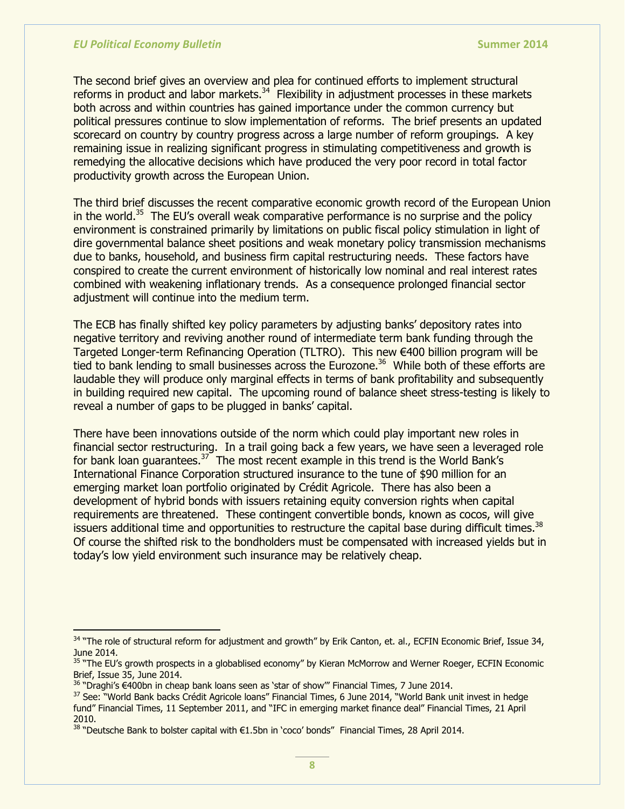$\overline{a}$ 

The second brief gives an overview and plea for continued efforts to implement structural reforms in product and labor markets. $34$  Flexibility in adjustment processes in these markets both across and within countries has gained importance under the common currency but political pressures continue to slow implementation of reforms. The brief presents an updated scorecard on country by country progress across a large number of reform groupings. A key remaining issue in realizing significant progress in stimulating competitiveness and growth is remedying the allocative decisions which have produced the very poor record in total factor productivity growth across the European Union.

The third brief discusses the recent comparative economic growth record of the European Union in the world.<sup>35</sup> The EU's overall weak comparative performance is no surprise and the policy environment is constrained primarily by limitations on public fiscal policy stimulation in light of dire governmental balance sheet positions and weak monetary policy transmission mechanisms due to banks, household, and business firm capital restructuring needs. These factors have conspired to create the current environment of historically low nominal and real interest rates combined with weakening inflationary trends. As a consequence prolonged financial sector adjustment will continue into the medium term.

The ECB has finally shifted key policy parameters by adjusting banks' depository rates into negative territory and reviving another round of intermediate term bank funding through the Targeted Longer-term Refinancing Operation (TLTRO). This new €400 billion program will be tied to bank lending to small businesses across the Eurozone.<sup>36</sup> While both of these efforts are laudable they will produce only marginal effects in terms of bank profitability and subsequently in building required new capital. The upcoming round of balance sheet stress-testing is likely to reveal a number of gaps to be plugged in banks' capital.

There have been innovations outside of the norm which could play important new roles in financial sector restructuring. In a trail going back a few years, we have seen a leveraged role for bank loan guarantees.<sup>37</sup> The most recent example in this trend is the World Bank's International Finance Corporation structured insurance to the tune of \$90 million for an emerging market loan portfolio originated by Crédit Agricole. There has also been a development of hybrid bonds with issuers retaining equity conversion rights when capital requirements are threatened. These contingent convertible bonds, known as cocos, will give issuers additional time and opportunities to restructure the capital base during difficult times.<sup>38</sup> Of course the shifted risk to the bondholders must be compensated with increased yields but in today's low yield environment such insurance may be relatively cheap.

<sup>34 &</sup>quot;The role of structural reform for adjustment and growth" by Erik Canton, et. al., ECFIN Economic Brief, Issue 34, June 2014.

<sup>&</sup>lt;sup>35</sup> "The EU's growth prospects in a globablised economy" by Kieran McMorrow and Werner Roeger, ECFIN Economic Brief, Issue 35, June 2014.

<sup>&</sup>lt;sup>36</sup> "Draghi's €400bn in cheap bank loans seen as 'star of show'" Financial Times, 7 June 2014.

<sup>37</sup> See: "World Bank backs Crédit Agricole loans" Financial Times, 6 June 2014, "World Bank unit invest in hedge fund" Financial Times, 11 September 2011, and "IFC in emerging market finance deal" Financial Times, 21 April 2010.

<sup>&</sup>lt;sup>38</sup> "Deutsche Bank to bolster capital with €1.5bn in 'coco' bonds" Financial Times, 28 April 2014.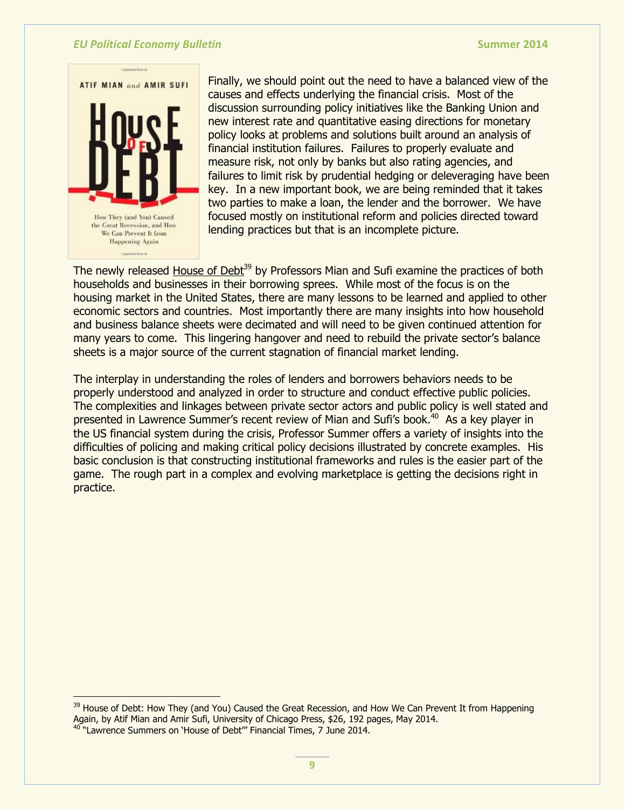

Finally, we should point out the need to have a balanced view of the causes and effects underlying the financial crisis. Most of the discussion surrounding policy initiatives like the Banking Union and new interest rate and quantitative easing directions for monetary policy looks at problems and solutions built around an analysis of financial institution failures. Failures to properly evaluate and measure risk, not only by banks but also rating agencies, and failures to limit risk by prudential hedging or deleveraging have been key. In a new important book, we are being reminded that it takes two parties to make a loan, the lender and the borrower. We have focused mostly on institutional reform and policies directed toward lending practices but that is an incomplete picture.

The newly released House of Debt<sup>39</sup> by Professors Mian and Sufi examine the practices of both households and businesses in their borrowing sprees. While most of the focus is on the housing market in the United States, there are many lessons to be learned and applied to other economic sectors and countries. Most importantly there are many insights into how household and business balance sheets were decimated and will need to be given continued attention for many years to come. This lingering hangover and need to rebuild the private sector's balance sheets is a major source of the current stagnation of financial market lending.

The interplay in understanding the roles of lenders and borrowers behaviors needs to be properly understood and analyzed in order to structure and conduct effective public policies. The complexities and linkages between private sector actors and public policy is well stated and presented in Lawrence Summer's recent review of Mian and Sufi's book.<sup>40</sup> As a key player in the US financial system during the crisis, Professor Summer offers a variety of insights into the difficulties of policing and making critical policy decisions illustrated by concrete examples. His basic conclusion is that constructing institutional frameworks and rules is the easier part of the game. The rough part in a complex and evolving marketplace is getting the decisions right in practice.

 $\overline{a}$ 

<sup>&</sup>lt;sup>39</sup> House of Debt: How They (and You) Caused the Great Recession, and How We Can Prevent It from Happening Again, by Atif Mian and Amir Sufi, University of Chicago Press, \$26, 192 pages, May 2014.

<sup>&</sup>lt;sup>40</sup> "Lawrence Summers on 'House of Debt'" Financial Times, 7 June 2014.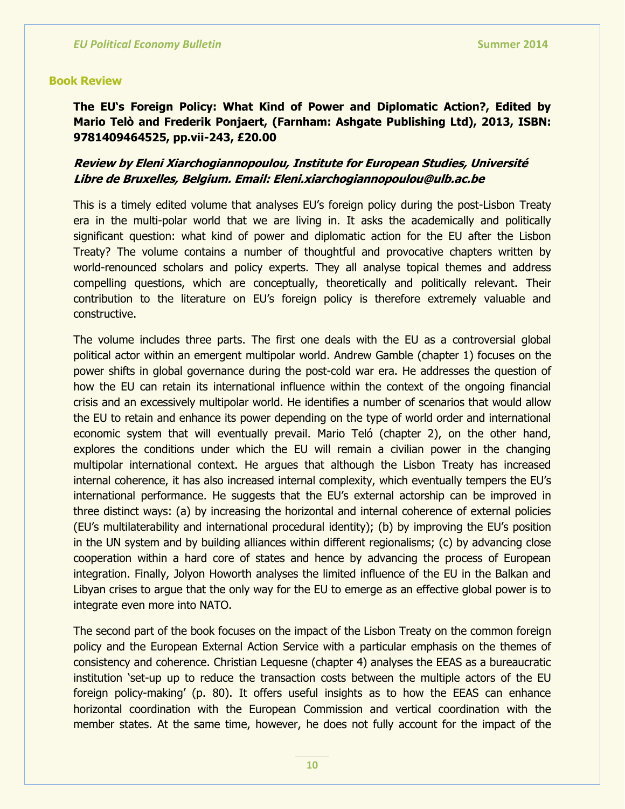#### **Book Review**

**The EU's Foreign Policy: What Kind of Power and Diplomatic Action?, Edited by Mario Telò and Frederik Ponjaert, (Farnham: Ashgate Publishing Ltd), 2013, ISBN: 9781409464525, pp.vii-243, £20.00**

# **Review by Eleni Xiarchogiannopoulou, Institute for European Studies, Université Libre de Bruxelles, Belgium. Email: Eleni.xiarchogiannopoulou@ulb.ac.be**

This is a timely edited volume that analyses EU's foreign policy during the post-Lisbon Treaty era in the multi-polar world that we are living in. It asks the academically and politically significant question: what kind of power and diplomatic action for the EU after the Lisbon Treaty? The volume contains a number of thoughtful and provocative chapters written by world-renounced scholars and policy experts. They all analyse topical themes and address compelling questions, which are conceptually, theoretically and politically relevant. Their contribution to the literature on EU's foreign policy is therefore extremely valuable and constructive.

The volume includes three parts. The first one deals with the EU as a controversial global political actor within an emergent multipolar world. Andrew Gamble (chapter 1) focuses on the power shifts in global governance during the post-cold war era. He addresses the question of how the EU can retain its international influence within the context of the ongoing financial crisis and an excessively multipolar world. He identifies a number of scenarios that would allow the EU to retain and enhance its power depending on the type of world order and international economic system that will eventually prevail. Mario Teló (chapter 2), on the other hand, explores the conditions under which the EU will remain a civilian power in the changing multipolar international context. He argues that although the Lisbon Treaty has increased internal coherence, it has also increased internal complexity, which eventually tempers the EU's international performance. He suggests that the EU's external actorship can be improved in three distinct ways: (a) by increasing the horizontal and internal coherence of external policies (EU's multilaterability and international procedural identity); (b) by improving the EU's position in the UN system and by building alliances within different regionalisms; (c) by advancing close cooperation within a hard core of states and hence by advancing the process of European integration. Finally, Jolyon Howorth analyses the limited influence of the EU in the Balkan and Libyan crises to argue that the only way for the EU to emerge as an effective global power is to integrate even more into NATO.

The second part of the book focuses on the impact of the Lisbon Treaty on the common foreign policy and the European External Action Service with a particular emphasis on the themes of consistency and coherence. Christian Lequesne (chapter 4) analyses the EEAS as a bureaucratic institution 'set-up up to reduce the transaction costs between the multiple actors of the EU foreign policy-making' (p. 80). It offers useful insights as to how the EEAS can enhance horizontal coordination with the European Commission and vertical coordination with the member states. At the same time, however, he does not fully account for the impact of the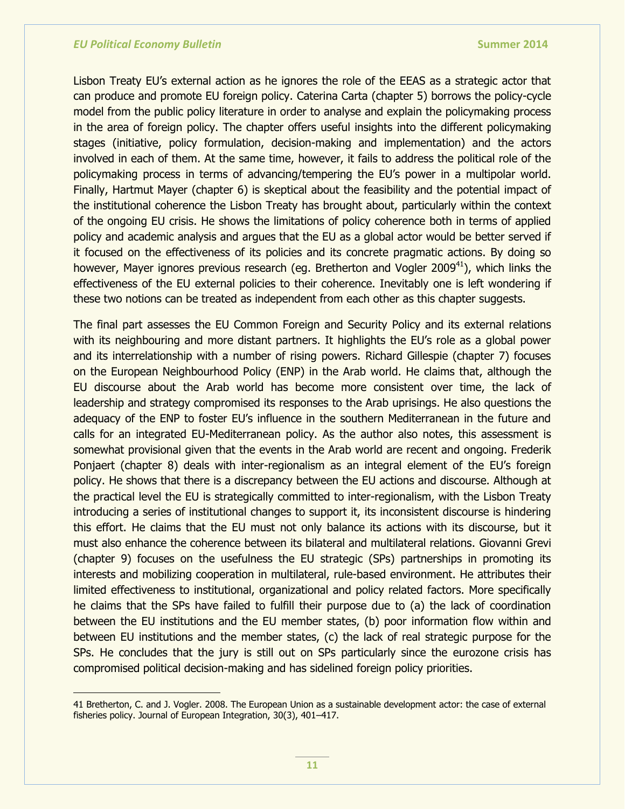Lisbon Treaty EU's external action as he ignores the role of the EEAS as a strategic actor that can produce and promote EU foreign policy. Caterina Carta (chapter 5) borrows the policy-cycle model from the public policy literature in order to analyse and explain the policymaking process in the area of foreign policy. The chapter offers useful insights into the different policymaking stages (initiative, policy formulation, decision-making and implementation) and the actors involved in each of them. At the same time, however, it fails to address the political role of the policymaking process in terms of advancing/tempering the EU's power in a multipolar world. Finally, Hartmut Mayer (chapter 6) is skeptical about the feasibility and the potential impact of the institutional coherence the Lisbon Treaty has brought about, particularly within the context of the ongoing EU crisis. He shows the limitations of policy coherence both in terms of applied policy and academic analysis and argues that the EU as a global actor would be better served if it focused on the effectiveness of its policies and its concrete pragmatic actions. By doing so however, Mayer ignores previous research (eg. Bretherton and Vogler 2009<sup>41</sup>), which links the effectiveness of the EU external policies to their coherence. Inevitably one is left wondering if these two notions can be treated as independent from each other as this chapter suggests.

The final part assesses the EU Common Foreign and Security Policy and its external relations with its neighbouring and more distant partners. It highlights the EU's role as a global power and its interrelationship with a number of rising powers. Richard Gillespie (chapter 7) focuses on the European Neighbourhood Policy (ENP) in the Arab world. He claims that, although the EU discourse about the Arab world has become more consistent over time, the lack of leadership and strategy compromised its responses to the Arab uprisings. He also questions the adequacy of the ENP to foster EU's influence in the southern Mediterranean in the future and calls for an integrated EU-Mediterranean policy. As the author also notes, this assessment is somewhat provisional given that the events in the Arab world are recent and ongoing. Frederik Ponjaert (chapter 8) deals with inter-regionalism as an integral element of the EU's foreign policy. He shows that there is a discrepancy between the EU actions and discourse. Although at the practical level the EU is strategically committed to inter-regionalism, with the Lisbon Treaty introducing a series of institutional changes to support it, its inconsistent discourse is hindering this effort. He claims that the EU must not only balance its actions with its discourse, but it must also enhance the coherence between its bilateral and multilateral relations. Giovanni Grevi (chapter 9) focuses on the usefulness the EU strategic (SPs) partnerships in promoting its interests and mobilizing cooperation in multilateral, rule-based environment. He attributes their limited effectiveness to institutional, organizational and policy related factors. More specifically he claims that the SPs have failed to fulfill their purpose due to (a) the lack of coordination between the EU institutions and the EU member states, (b) poor information flow within and between EU institutions and the member states, (c) the lack of real strategic purpose for the SPs. He concludes that the jury is still out on SPs particularly since the eurozone crisis has compromised political decision-making and has sidelined foreign policy priorities.

<sup>41</sup> Bretherton, C. and J. Vogler. 2008. The European Union as a sustainable development actor: the case of external fisheries policy. Journal of European Integration, 30(3), 401–417.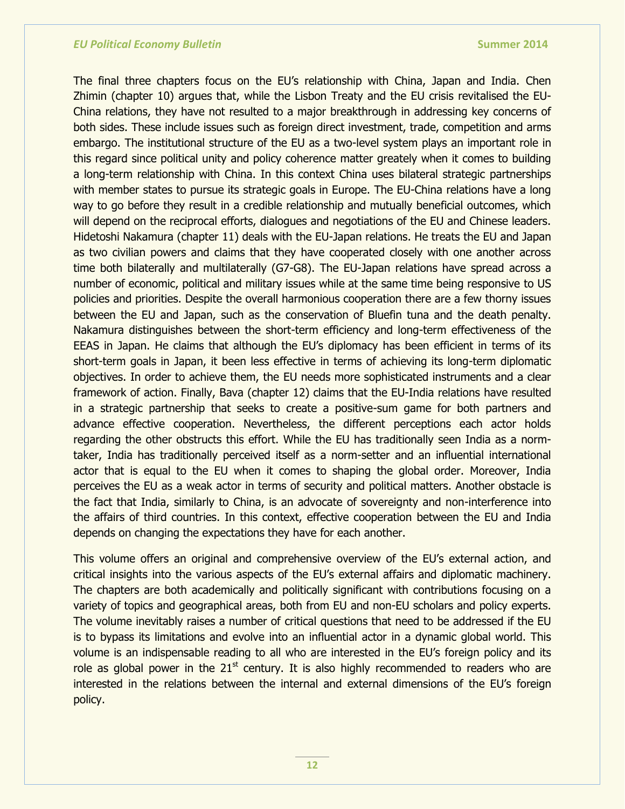The final three chapters focus on the EU's relationship with China, Japan and India. Chen Zhimin (chapter 10) argues that, while the Lisbon Treaty and the EU crisis revitalised the EU-China relations, they have not resulted to a major breakthrough in addressing key concerns of both sides. These include issues such as foreign direct investment, trade, competition and arms embargo. The institutional structure of the EU as a two-level system plays an important role in this regard since political unity and policy coherence matter greately when it comes to building a long-term relationship with China. In this context China uses bilateral strategic partnerships with member states to pursue its strategic goals in Europe. The EU-China relations have a long way to go before they result in a credible relationship and mutually beneficial outcomes, which will depend on the reciprocal efforts, dialogues and negotiations of the EU and Chinese leaders. Hidetoshi Nakamura (chapter 11) deals with the EU-Japan relations. He treats the EU and Japan as two civilian powers and claims that they have cooperated closely with one another across time both bilaterally and multilaterally (G7-G8). The EU-Japan relations have spread across a number of economic, political and military issues while at the same time being responsive to US policies and priorities. Despite the overall harmonious cooperation there are a few thorny issues between the EU and Japan, such as the conservation of Bluefin tuna and the death penalty. Nakamura distinguishes between the short-term efficiency and long-term effectiveness of the EEAS in Japan. He claims that although the EU's diplomacy has been efficient in terms of its short-term goals in Japan, it been less effective in terms of achieving its long-term diplomatic objectives. In order to achieve them, the EU needs more sophisticated instruments and a clear framework of action. Finally, Bava (chapter 12) claims that the EU-India relations have resulted in a strategic partnership that seeks to create a positive-sum game for both partners and advance effective cooperation. Nevertheless, the different perceptions each actor holds regarding the other obstructs this effort. While the EU has traditionally seen India as a normtaker, India has traditionally perceived itself as a norm-setter and an influential international actor that is equal to the EU when it comes to shaping the global order. Moreover, India perceives the EU as a weak actor in terms of security and political matters. Another obstacle is the fact that India, similarly to China, is an advocate of sovereignty and non-interference into the affairs of third countries. In this context, effective cooperation between the EU and India depends on changing the expectations they have for each another.

This volume offers an original and comprehensive overview of the EU's external action, and critical insights into the various aspects of the EU's external affairs and diplomatic machinery. The chapters are both academically and politically significant with contributions focusing on a variety of topics and geographical areas, both from EU and non-EU scholars and policy experts. The volume inevitably raises a number of critical questions that need to be addressed if the EU is to bypass its limitations and evolve into an influential actor in a dynamic global world. This volume is an indispensable reading to all who are interested in the EU's foreign policy and its role as global power in the  $21<sup>st</sup>$  century. It is also highly recommended to readers who are interested in the relations between the internal and external dimensions of the EU's foreign policy.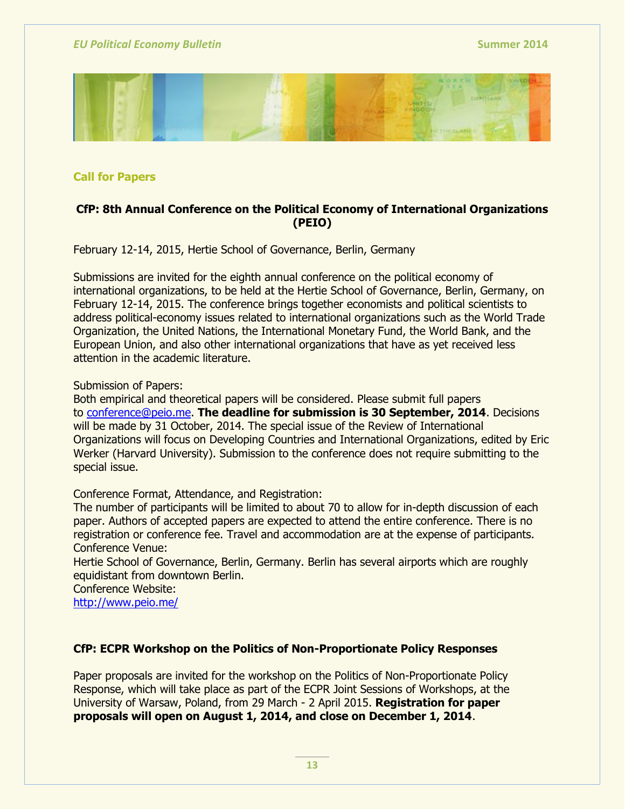

**Call for Papers**

# **CfP: 8th Annual Conference on the Political Economy of International Organizations (PEIO)**

February 12-14, 2015, Hertie School of Governance, Berlin, Germany

Submissions are invited for the eighth annual conference on the political economy of international organizations, to be held at the Hertie School of Governance, Berlin, Germany, on February 12-14, 2015. The conference brings together economists and political scientists to address political-economy issues related to international organizations such as the World Trade Organization, the United Nations, the International Monetary Fund, the World Bank, and the European Union, and also other international organizations that have as yet received less attention in the academic literature.

Submission of Papers:

Both empirical and theoretical papers will be considered. Please submit full papers to conference@peio.me. **The deadline for submission is 30 September, 2014**. Decisions will be made by 31 October, 2014. The special issue of the Review of International Organizations will focus on Developing Countries and International Organizations, edited by Eric Werker (Harvard University). Submission to the conference does not require submitting to the special issue.

Conference Format, Attendance, and Registration:

The number of participants will be limited to about 70 to allow for in-depth discussion of each paper. Authors of accepted papers are expected to attend the entire conference. There is no registration or conference fee. Travel and accommodation are at the expense of participants. Conference Venue:

Hertie School of Governance, Berlin, Germany. Berlin has several airports which are roughly equidistant from downtown Berlin.

Conference Website: <http://www.peio.me/>

# **CfP: ECPR Workshop on the Politics of Non-Proportionate Policy Responses**

Paper proposals are invited for the workshop on the Politics of Non-Proportionate Policy Response, which will take place as part of the ECPR Joint Sessions of Workshops, at the University of Warsaw, Poland, from 29 March - 2 April 2015. **Registration for paper proposals will open on August 1, 2014, and close on December 1, 2014**.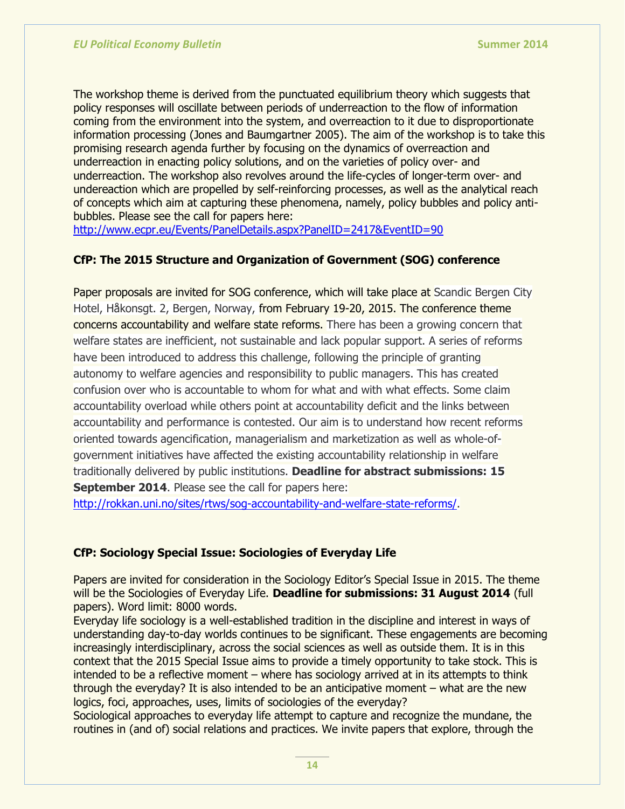The workshop theme is derived from the punctuated equilibrium theory which suggests that policy responses will oscillate between periods of underreaction to the flow of information coming from the environment into the system, and overreaction to it due to disproportionate information processing (Jones and Baumgartner 2005). The aim of the workshop is to take this promising research agenda further by focusing on the dynamics of overreaction and underreaction in enacting policy solutions, and on the varieties of policy over- and underreaction. The workshop also revolves around the life-cycles of longer-term over- and undereaction which are propelled by self-reinforcing processes, as well as the analytical reach of concepts which aim at capturing these phenomena, namely, policy bubbles and policy antibubbles. Please see the call for papers here:

<http://www.ecpr.eu/Events/PanelDetails.aspx?PanelID=2417&EventID=90>

# **CfP: The 2015 Structure and Organization of Government (SOG) conference**

Paper proposals are invited for SOG conference, which will take place at Scandic Bergen City Hotel, Håkonsgt. 2, Bergen, Norway, from February 19-20, 2015. The conference theme concerns accountability and welfare state reforms. There has been a growing concern that welfare states are inefficient, not sustainable and lack popular support. A series of reforms have been introduced to address this challenge, following the principle of granting autonomy to welfare agencies and responsibility to public managers. This has created confusion over who is accountable to whom for what and with what effects. Some claim accountability overload while others point at accountability deficit and the links between accountability and performance is contested. Our aim is to understand how recent reforms oriented towards agencification, managerialism and marketization as well as whole-ofgovernment initiatives have affected the existing accountability relationship in welfare traditionally delivered by public institutions. **Deadline for abstract submissions: 15 September 2014.** Please see the call for papers here:

[http://rokkan.uni.no/sites/rtws/sog-accountability-and-welfare-state-reforms/.](http://rokkan.uni.no/sites/rtws/sog-accountability-and-welfare-state-reforms/)

# **CfP: Sociology Special Issue: Sociologies of Everyday Life**

Papers are invited for consideration in the Sociology Editor's Special Issue in 2015. The theme will be the Sociologies of Everyday Life. **Deadline for submissions: 31 August 2014** (full papers). Word limit: 8000 words.

Everyday life sociology is a well-established tradition in the discipline and interest in ways of understanding day-to-day worlds continues to be significant. These engagements are becoming increasingly interdisciplinary, across the social sciences as well as outside them. It is in this context that the 2015 Special Issue aims to provide a timely opportunity to take stock. This is intended to be a reflective moment – where has sociology arrived at in its attempts to think through the everyday? It is also intended to be an anticipative moment – what are the new logics, foci, approaches, uses, limits of sociologies of the everyday?

Sociological approaches to everyday life attempt to capture and recognize the mundane, the routines in (and of) social relations and practices. We invite papers that explore, through the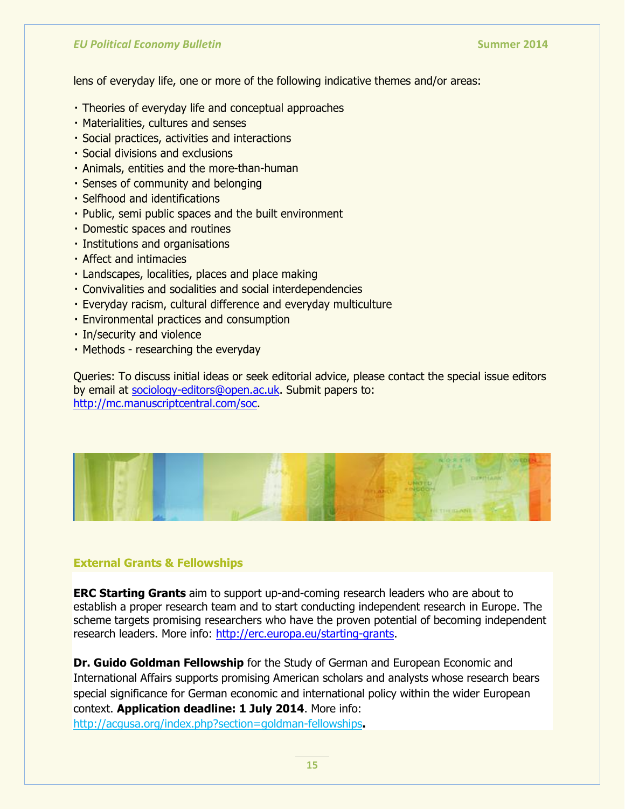lens of everyday life, one or more of the following indicative themes and/or areas:

- Theories of everyday life and conceptual approaches
- Materialities, cultures and senses
- · Social practices, activities and interactions
- · Social divisions and exclusions
- · Animals, entities and the more-than-human
- Senses of community and belonging
- · Selfhood and identifications
- . Public, semi public spaces and the built environment
- Domestic spaces and routines
- · Institutions and organisations
- · Affect and intimacies
- · Landscapes, localities, places and place making
- Convivalities and socialities and social interdependencies
- · Everyday racism, cultural difference and everyday multiculture
- · Environmental practices and consumption
- · In/security and violence
- Methods researching the everyday

Queries: To discuss initial ideas or seek editorial advice, please contact the special issue editors by email at [sociology-editors@open.ac.uk.](mailto:sociology-editors@open.ac.uk) Submit papers to: [http://mc.manuscriptcentral.com/soc.](http://mc.manuscriptcentral.com/soc)



### **External Grants & Fellowships**

**ERC Starting Grants** aim to support up-and-coming research leaders who are about to establish a proper research team and to start conducting independent research in Europe. The scheme targets promising researchers who have the proven potential of becoming independent research leaders. More info: [http://erc.europa.eu/starting-grants.](http://erc.europa.eu/starting-grants)

**Dr. Guido Goldman Fellowship** for the Study of German and European Economic and International Affairs supports promising American scholars and analysts whose research bears special significance for German economic and international policy within the wider European context. **Application deadline: 1 July 2014**. More info: <http://acgusa.org/index.php?section=goldman-fellowships>**.**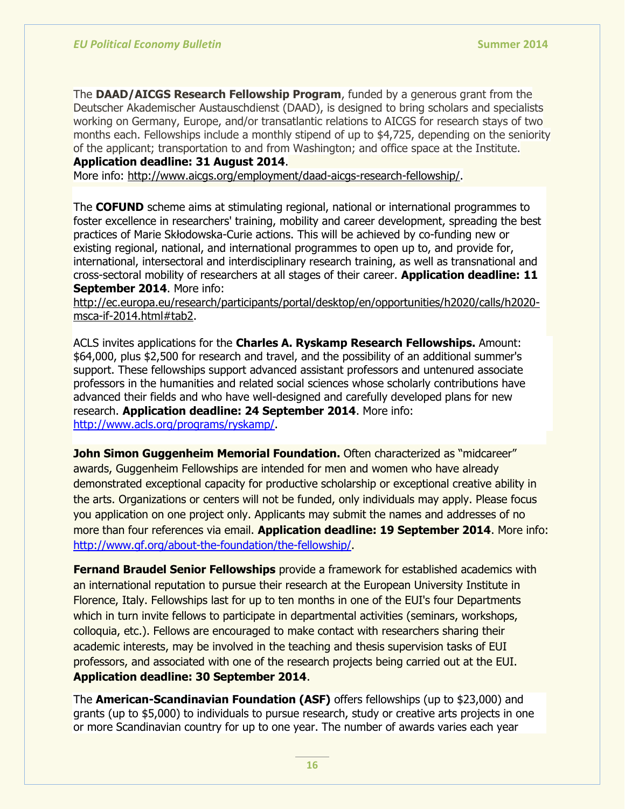The **DAAD/AICGS Research Fellowship Program**, funded by a generous grant from the Deutscher Akademischer Austauschdienst (DAAD), is designed to bring scholars and specialists working on Germany, Europe, and/or transatlantic relations to AICGS for research stays of two months each. Fellowships include a monthly stipend of up to \$4,725, depending on the seniority of the applicant; transportation to and from Washington; and office space at the Institute.

**Application deadline: 31 August 2014**.

More info: [http://www.aicgs.org/employment/daad-aicgs-research-fellowship/.](http://www.aicgs.org/employment/daad-aicgs-research-fellowship/)

The **COFUND** scheme aims at stimulating regional, national or international programmes to foster excellence in researchers' training, mobility and career development, spreading the best practices of Marie Skłodowska-Curie actions. This will be achieved by co-funding new or existing regional, national, and international programmes to open up to, and provide for, international, intersectoral and interdisciplinary research training, as well as transnational and cross-sectoral mobility of researchers at all stages of their career. **Application deadline: 11 September 2014**. More info:

[http://ec.europa.eu/research/participants/portal/desktop/en/opportunities/h2020/calls/h2020](http://ec.europa.eu/research/participants/portal/desktop/en/opportunities/h2020/calls/h2020-msca-if-2014.html#tab2) [msca-if-2014.html#tab2.](http://ec.europa.eu/research/participants/portal/desktop/en/opportunities/h2020/calls/h2020-msca-if-2014.html#tab2)

ACLS invites applications for the **Charles A. Ryskamp Research Fellowships.** Amount: \$64,000, plus \$2,500 for research and travel, and the possibility of an additional summer's support. These fellowships support advanced assistant professors and untenured associate professors in the humanities and related social sciences whose scholarly contributions have advanced their fields and who have well-designed and carefully developed plans for new research. **Application deadline: 24 September 2014**. More info: [http://www.acls.org/programs/ryskamp/.](http://www.acls.org/programs/ryskamp/)

**John Simon Guggenheim Memorial Foundation.** Often characterized as "midcareer" awards, Guggenheim Fellowships are intended for men and women who have already demonstrated exceptional capacity for productive scholarship or exceptional creative ability in the arts. Organizations or centers will not be funded, only individuals may apply. Please focus you application on one project only. Applicants may submit the names and addresses of no more than four references via email. **Application deadline: 19 September 2014**. More info: [http://www.gf.org/about-the-foundation/the-fellowship/.](http://www.gf.org/about-the-foundation/the-fellowship/)

**Fernand Braudel Senior Fellowships** provide a framework for established academics with an international reputation to pursue their research at the European University Institute in Florence, Italy. Fellowships last for up to ten months in one of the EUI's four Departments which in turn invite fellows to participate in departmental activities (seminars, workshops, colloquia, etc.). Fellows are encouraged to make contact with researchers sharing their academic interests, may be involved in the teaching and thesis supervision tasks of EUI professors, and associated with one of the research projects being carried out at the EUI. **Application deadline: 30 September 2014**.

The **American-Scandinavian Foundation (ASF)** offers fellowships (up to \$23,000) and grants (up to \$5,000) to individuals to pursue research, study or creative arts projects in one or more Scandinavian country for up to one year. The number of awards varies each year